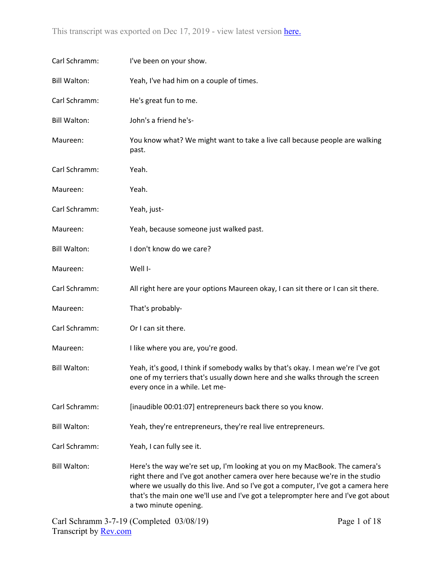| Carl Schramm:       | I've been on your show.                                                                                                                                                                                                                                                                                                                                         |  |
|---------------------|-----------------------------------------------------------------------------------------------------------------------------------------------------------------------------------------------------------------------------------------------------------------------------------------------------------------------------------------------------------------|--|
| <b>Bill Walton:</b> | Yeah, I've had him on a couple of times.                                                                                                                                                                                                                                                                                                                        |  |
| Carl Schramm:       | He's great fun to me.                                                                                                                                                                                                                                                                                                                                           |  |
| <b>Bill Walton:</b> | John's a friend he's-                                                                                                                                                                                                                                                                                                                                           |  |
| Maureen:            | You know what? We might want to take a live call because people are walking<br>past.                                                                                                                                                                                                                                                                            |  |
| Carl Schramm:       | Yeah.                                                                                                                                                                                                                                                                                                                                                           |  |
| Maureen:            | Yeah.                                                                                                                                                                                                                                                                                                                                                           |  |
| Carl Schramm:       | Yeah, just-                                                                                                                                                                                                                                                                                                                                                     |  |
| Maureen:            | Yeah, because someone just walked past.                                                                                                                                                                                                                                                                                                                         |  |
| <b>Bill Walton:</b> | I don't know do we care?                                                                                                                                                                                                                                                                                                                                        |  |
| Maureen:            | Well I-                                                                                                                                                                                                                                                                                                                                                         |  |
| Carl Schramm:       | All right here are your options Maureen okay, I can sit there or I can sit there.                                                                                                                                                                                                                                                                               |  |
| Maureen:            | That's probably-                                                                                                                                                                                                                                                                                                                                                |  |
| Carl Schramm:       | Or I can sit there.                                                                                                                                                                                                                                                                                                                                             |  |
| Maureen:            | I like where you are, you're good.                                                                                                                                                                                                                                                                                                                              |  |
| <b>Bill Walton:</b> | Yeah, it's good, I think if somebody walks by that's okay. I mean we're I've got<br>one of my terriers that's usually down here and she walks through the screen<br>every once in a while. Let me-                                                                                                                                                              |  |
| Carl Schramm:       | [inaudible 00:01:07] entrepreneurs back there so you know.                                                                                                                                                                                                                                                                                                      |  |
| <b>Bill Walton:</b> | Yeah, they're entrepreneurs, they're real live entrepreneurs.                                                                                                                                                                                                                                                                                                   |  |
| Carl Schramm:       | Yeah, I can fully see it.                                                                                                                                                                                                                                                                                                                                       |  |
| <b>Bill Walton:</b> | Here's the way we're set up, I'm looking at you on my MacBook. The camera's<br>right there and I've got another camera over here because we're in the studio<br>where we usually do this live. And so I've got a computer, I've got a camera here<br>that's the main one we'll use and I've got a teleprompter here and I've got about<br>a two minute opening. |  |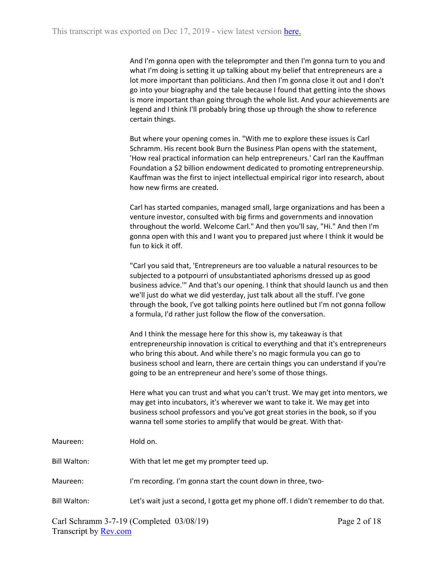| And I'm gonna open with the teleprompter and then I'm gonna turn to you and      |
|----------------------------------------------------------------------------------|
| what I'm doing is setting it up talking about my belief that entrepreneurs are a |
| lot more important than politicians. And then I'm gonna close it out and I don't |
| go into your biography and the tale because I found that getting into the shows  |
| is more important than going through the whole list. And your achievements are   |
| legend and I think I'll probably bring those up through the show to reference    |
| certain things.                                                                  |

But where your opening comes in. "With me to explore these issues is Carl Schramm. His recent book Burn the Business Plan opens with the statement, 'How real practical information can help entrepreneurs.' Carl ran the Kauffman Foundation a \$2 billion endowment dedicated to promoting entrepreneurship. Kauffman was the first to inject intellectual empirical rigor into research, about how new firms are created.

Carl has started companies, managed small, large organizations and has been a venture investor, consulted with big firms and governments and innovation throughout the world. Welcome Carl." And then you'll say, "Hi." And then I'm gonna open with this and I want you to prepared just where I think it would be fun to kick it off.

"Carl you said that, 'Entrepreneurs are too valuable a natural resources to be subjected to a potpourri of unsubstantiated aphorisms dressed up as good business advice.'" And that's our opening. I think that should launch us and then we'll just do what we did yesterday, just talk about all the stuff. I've gone through the book, I've got talking points here outlined but I'm not gonna follow a formula, I'd rather just follow the flow of the conversation.

And I think the message here for this show is, my takeaway is that entrepreneurship innovation is critical to everything and that it's entrepreneurs who bring this about. And while there's no magic formula you can go to business school and learn, there are certain things you can understand if you're going to be an entrepreneur and here's some of those things.

Here what you can trust and what you can't trust. We may get into mentors, we may get into incubators, it's wherever we want to take it. We may get into business school professors and you've got great stories in the book, so if you wanna tell some stories to amplify that would be great. With that-

Maureen: Hold on.

Bill Walton: With that let me get my prompter teed up.

- Maureen: I'm recording. I'm gonna start the count down in three, two-
- Bill Walton: Let's wait just a second, I gotta get my phone off. I didn't remember to do that.

Carl Schramm 3-7-19 (Completed 03/08/19) Transcript by [Rev.com](https://www.rev.com/)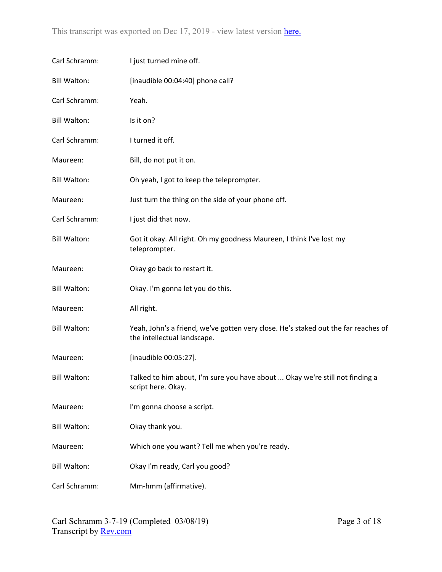| Carl Schramm:       | I just turned mine off.                                                                                           |
|---------------------|-------------------------------------------------------------------------------------------------------------------|
| <b>Bill Walton:</b> | [inaudible 00:04:40] phone call?                                                                                  |
| Carl Schramm:       | Yeah.                                                                                                             |
| <b>Bill Walton:</b> | Is it on?                                                                                                         |
| Carl Schramm:       | I turned it off.                                                                                                  |
| Maureen:            | Bill, do not put it on.                                                                                           |
| <b>Bill Walton:</b> | Oh yeah, I got to keep the teleprompter.                                                                          |
| Maureen:            | Just turn the thing on the side of your phone off.                                                                |
| Carl Schramm:       | I just did that now.                                                                                              |
| <b>Bill Walton:</b> | Got it okay. All right. Oh my goodness Maureen, I think I've lost my<br>teleprompter.                             |
| Maureen:            | Okay go back to restart it.                                                                                       |
| <b>Bill Walton:</b> | Okay. I'm gonna let you do this.                                                                                  |
| Maureen:            | All right.                                                                                                        |
| <b>Bill Walton:</b> | Yeah, John's a friend, we've gotten very close. He's staked out the far reaches of<br>the intellectual landscape. |
| Maureen:            | [inaudible 00:05:27].                                                                                             |
| <b>Bill Walton:</b> | Talked to him about, I'm sure you have about  Okay we're still not finding a<br>script here. Okay.                |
| Maureen:            | I'm gonna choose a script.                                                                                        |
| <b>Bill Walton:</b> | Okay thank you.                                                                                                   |
| Maureen:            | Which one you want? Tell me when you're ready.                                                                    |
| <b>Bill Walton:</b> | Okay I'm ready, Carl you good?                                                                                    |
| Carl Schramm:       | Mm-hmm (affirmative).                                                                                             |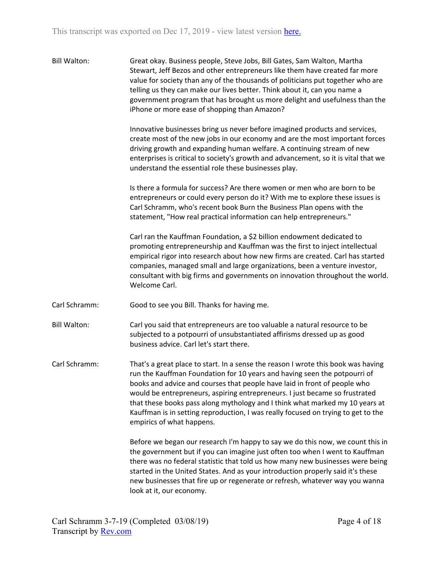| <b>Bill Walton:</b> | Great okay. Business people, Steve Jobs, Bill Gates, Sam Walton, Martha         |
|---------------------|---------------------------------------------------------------------------------|
|                     | Stewart, Jeff Bezos and other entrepreneurs like them have created far more     |
|                     | value for society than any of the thousands of politicians put together who are |
|                     | telling us they can make our lives better. Think about it, can you name a       |
|                     | government program that has brought us more delight and usefulness than the     |
|                     | iPhone or more ease of shopping than Amazon?                                    |

Innovative businesses bring us never before imagined products and services, create most of the new jobs in our economy and are the most important forces driving growth and expanding human welfare. A continuing stream of new enterprises is critical to society's growth and advancement, so it is vital that we understand the essential role these businesses play.

Is there a formula for success? Are there women or men who are born to be entrepreneurs or could every person do it? With me to explore these issues is Carl Schramm, who's recent book Burn the Business Plan opens with the statement, "How real practical information can help entrepreneurs."

Carl ran the Kauffman Foundation, a \$2 billion endowment dedicated to promoting entrepreneurship and Kauffman was the first to inject intellectual empirical rigor into research about how new firms are created. Carl has started companies, managed small and large organizations, been a venture investor, consultant with big firms and governments on innovation throughout the world. Welcome Carl.

Carl Schramm: Good to see you Bill. Thanks for having me.

Bill Walton: Carl you said that entrepreneurs are too valuable a natural resource to be subjected to a potpourri of unsubstantiated affirisms dressed up as good business advice. Carl let's start there.

Carl Schramm: That's a great place to start. In a sense the reason I wrote this book was having run the Kauffman Foundation for 10 years and having seen the potpourri of books and advice and courses that people have laid in front of people who would be entrepreneurs, aspiring entrepreneurs. I just became so frustrated that these books pass along mythology and I think what marked my 10 years at Kauffman is in setting reproduction, I was really focused on trying to get to the empirics of what happens.

> Before we began our research I'm happy to say we do this now, we count this in the government but if you can imagine just often too when I went to Kauffman there was no federal statistic that told us how many new businesses were being started in the United States. And as your introduction properly said it's these new businesses that fire up or regenerate or refresh, whatever way you wanna look at it, our economy.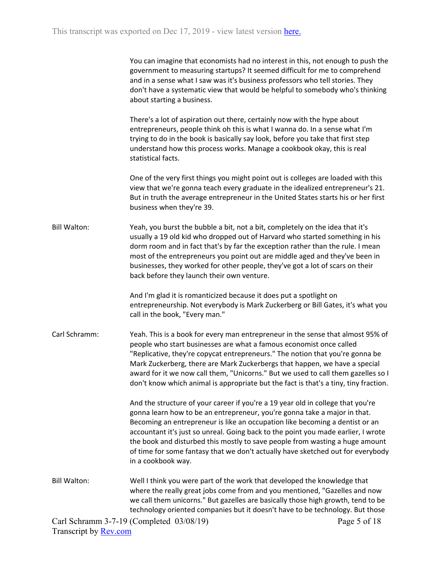| You can imagine that economists had no interest in this, not enough to push the |
|---------------------------------------------------------------------------------|
| government to measuring startups? It seemed difficult for me to comprehend      |
| and in a sense what I saw was it's business professors who tell stories. They   |
| don't have a systematic view that would be helpful to somebody who's thinking   |
| about starting a business.                                                      |

There's a lot of aspiration out there, certainly now with the hype about entrepreneurs, people think oh this is what I wanna do. In a sense what I'm trying to do in the book is basically say look, before you take that first step understand how this process works. Manage a cookbook okay, this is real statistical facts.

One of the very first things you might point out is colleges are loaded with this view that we're gonna teach every graduate in the idealized entrepreneur's 21. But in truth the average entrepreneur in the United States starts his or her first business when they're 39.

Bill Walton: Yeah, you burst the bubble a bit, not a bit, completely on the idea that it's usually a 19 old kid who dropped out of Harvard who started something in his dorm room and in fact that's by far the exception rather than the rule. I mean most of the entrepreneurs you point out are middle aged and they've been in businesses, they worked for other people, they've got a lot of scars on their back before they launch their own venture.

> And I'm glad it is romanticized because it does put a spotlight on entrepreneurship. Not everybody is Mark Zuckerberg or Bill Gates, it's what you call in the book, "Every man."

Carl Schramm: Yeah. This is a book for every man entrepreneur in the sense that almost 95% of people who start businesses are what a famous economist once called "Replicative, they're copycat entrepreneurs." The notion that you're gonna be Mark Zuckerberg, there are Mark Zuckerbergs that happen, we have a special award for it we now call them, "Unicorns." But we used to call them gazelles so I don't know which animal is appropriate but the fact is that's a tiny, tiny fraction.

> And the structure of your career if you're a 19 year old in college that you're gonna learn how to be an entrepreneur, you're gonna take a major in that. Becoming an entrepreneur is like an occupation like becoming a dentist or an accountant it's just so unreal. Going back to the point you made earlier, I wrote the book and disturbed this mostly to save people from wasting a huge amount of time for some fantasy that we don't actually have sketched out for everybody in a cookbook way.

Bill Walton: Well I think you were part of the work that developed the knowledge that where the really great jobs come from and you mentioned, "Gazelles and now we call them unicorns." But gazelles are basically those high growth, tend to be technology oriented companies but it doesn't have to be technology. But those

Carl Schramm 3-7-19 (Completed 03/08/19) Transcript by [Rev.com](https://www.rev.com/)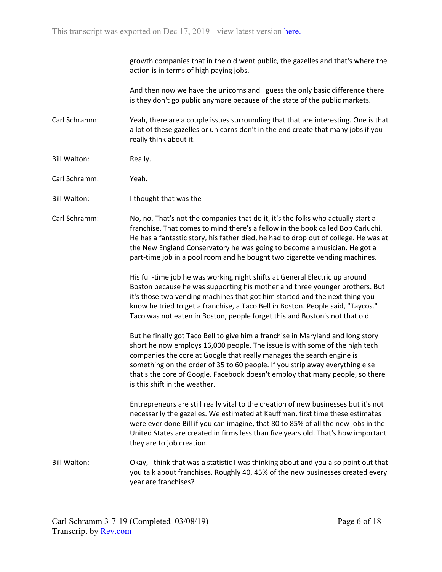growth companies that in the old went public, the gazelles and that's where the action is in terms of high paying jobs.

And then now we have the unicorns and I guess the only basic difference there is they don't go public anymore because of the state of the public markets.

Carl Schramm: Yeah, there are a couple issues surrounding that that are interesting. One is that a lot of these gazelles or unicorns don't in the end create that many jobs if you really think about it.

Bill Walton: Really.

Carl Schramm: Yeah.

Bill Walton: I thought that was the-

Carl Schramm: No, no. That's not the companies that do it, it's the folks who actually start a franchise. That comes to mind there's a fellow in the book called Bob Carluchi. He has a fantastic story, his father died, he had to drop out of college. He was at the New England Conservatory he was going to become a musician. He got a part-time job in a pool room and he bought two cigarette vending machines.

> His full-time job he was working night shifts at General Electric up around Boston because he was supporting his mother and three younger brothers. But it's those two vending machines that got him started and the next thing you know he tried to get a franchise, a Taco Bell in Boston. People said, "Taycos." Taco was not eaten in Boston, people forget this and Boston's not that old.

> But he finally got Taco Bell to give him a franchise in Maryland and long story short he now employs 16,000 people. The issue is with some of the high tech companies the core at Google that really manages the search engine is something on the order of 35 to 60 people. If you strip away everything else that's the core of Google. Facebook doesn't employ that many people, so there is this shift in the weather.

> Entrepreneurs are still really vital to the creation of new businesses but it's not necessarily the gazelles. We estimated at Kauffman, first time these estimates were ever done Bill if you can imagine, that 80 to 85% of all the new jobs in the United States are created in firms less than five years old. That's how important they are to job creation.

Bill Walton: Okay, I think that was a statistic I was thinking about and you also point out that you talk about franchises. Roughly 40, 45% of the new businesses created every year are franchises?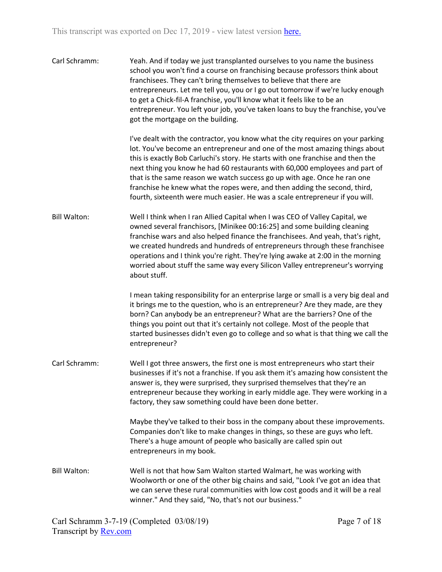| Carl Schramm:       | Yeah. And if today we just transplanted ourselves to you name the business<br>school you won't find a course on franchising because professors think about<br>franchisees. They can't bring themselves to believe that there are<br>entrepreneurs. Let me tell you, you or I go out tomorrow if we're lucky enough<br>to get a Chick-fil-A franchise, you'll know what it feels like to be an<br>entrepreneur. You left your job, you've taken loans to buy the franchise, you've<br>got the mortgage on the building.                                                    |
|---------------------|---------------------------------------------------------------------------------------------------------------------------------------------------------------------------------------------------------------------------------------------------------------------------------------------------------------------------------------------------------------------------------------------------------------------------------------------------------------------------------------------------------------------------------------------------------------------------|
|                     | I've dealt with the contractor, you know what the city requires on your parking<br>lot. You've become an entrepreneur and one of the most amazing things about<br>this is exactly Bob Carluchi's story. He starts with one franchise and then the<br>next thing you know he had 60 restaurants with 60,000 employees and part of<br>that is the same reason we watch success go up with age. Once he ran one<br>franchise he knew what the ropes were, and then adding the second, third,<br>fourth, sixteenth were much easier. He was a scale entrepreneur if you will. |
| <b>Bill Walton:</b> | Well I think when I ran Allied Capital when I was CEO of Valley Capital, we<br>owned several franchisors, [Minikee 00:16:25] and some building cleaning<br>franchise wars and also helped finance the franchisees. And yeah, that's right,<br>we created hundreds and hundreds of entrepreneurs through these franchisee<br>operations and I think you're right. They're lying awake at 2:00 in the morning<br>worried about stuff the same way every Silicon Valley entrepreneur's worrying<br>about stuff.                                                              |
|                     | I mean taking responsibility for an enterprise large or small is a very big deal and<br>it brings me to the question, who is an entrepreneur? Are they made, are they<br>born? Can anybody be an entrepreneur? What are the barriers? One of the<br>things you point out that it's certainly not college. Most of the people that<br>started businesses didn't even go to college and so what is that thing we call the<br>entrepreneur?                                                                                                                                  |
| Carl Schramm:       | Well I got three answers, the first one is most entrepreneurs who start their<br>businesses if it's not a franchise. If you ask them it's amazing how consistent the<br>answer is, they were surprised, they surprised themselves that they're an<br>entrepreneur because they working in early middle age. They were working in a<br>factory, they saw something could have been done better.                                                                                                                                                                            |
|                     | Maybe they've talked to their boss in the company about these improvements.<br>Companies don't like to make changes in things, so these are guys who left.<br>There's a huge amount of people who basically are called spin out<br>entrepreneurs in my book.                                                                                                                                                                                                                                                                                                              |
| <b>Bill Walton:</b> | Well is not that how Sam Walton started Walmart, he was working with<br>Woolworth or one of the other big chains and said, "Look I've got an idea that<br>we can serve these rural communities with low cost goods and it will be a real<br>winner." And they said, "No, that's not our business."                                                                                                                                                                                                                                                                        |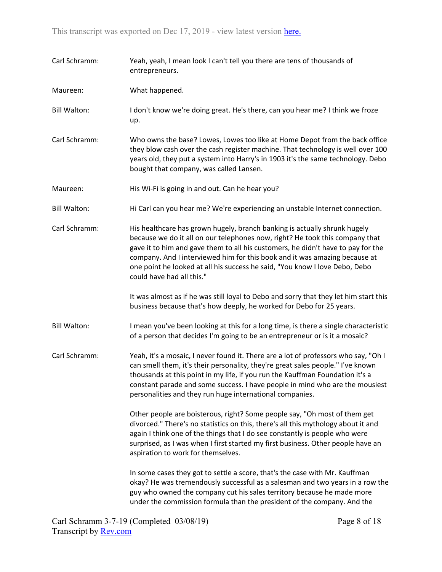| Carl Schramm:       | Yeah, yeah, I mean look I can't tell you there are tens of thousands of<br>entrepreneurs.                                                                                                                                                                                                                                                                                                                                               |  |
|---------------------|-----------------------------------------------------------------------------------------------------------------------------------------------------------------------------------------------------------------------------------------------------------------------------------------------------------------------------------------------------------------------------------------------------------------------------------------|--|
| Maureen:            | What happened.                                                                                                                                                                                                                                                                                                                                                                                                                          |  |
| <b>Bill Walton:</b> | I don't know we're doing great. He's there, can you hear me? I think we froze<br>up.                                                                                                                                                                                                                                                                                                                                                    |  |
| Carl Schramm:       | Who owns the base? Lowes, Lowes too like at Home Depot from the back office<br>they blow cash over the cash register machine. That technology is well over 100<br>years old, they put a system into Harry's in 1903 it's the same technology. Debo<br>bought that company, was called Lansen.                                                                                                                                           |  |
| Maureen:            | His Wi-Fi is going in and out. Can he hear you?                                                                                                                                                                                                                                                                                                                                                                                         |  |
| <b>Bill Walton:</b> | Hi Carl can you hear me? We're experiencing an unstable Internet connection.                                                                                                                                                                                                                                                                                                                                                            |  |
| Carl Schramm:       | His healthcare has grown hugely, branch banking is actually shrunk hugely<br>because we do it all on our telephones now, right? He took this company that<br>gave it to him and gave them to all his customers, he didn't have to pay for the<br>company. And I interviewed him for this book and it was amazing because at<br>one point he looked at all his success he said, "You know I love Debo, Debo<br>could have had all this." |  |
|                     | It was almost as if he was still loyal to Debo and sorry that they let him start this<br>business because that's how deeply, he worked for Debo for 25 years.                                                                                                                                                                                                                                                                           |  |
| <b>Bill Walton:</b> | I mean you've been looking at this for a long time, is there a single characteristic<br>of a person that decides I'm going to be an entrepreneur or is it a mosaic?                                                                                                                                                                                                                                                                     |  |
| Carl Schramm:       | Yeah, it's a mosaic, I never found it. There are a lot of professors who say, "Oh I<br>can smell them, it's their personality, they're great sales people." I've known<br>thousands at this point in my life, if you run the Kauffman Foundation it's a<br>constant parade and some success. I have people in mind who are the mousiest<br>personalities and they run huge international companies.                                     |  |
|                     | Other people are boisterous, right? Some people say, "Oh most of them get<br>divorced." There's no statistics on this, there's all this mythology about it and<br>again I think one of the things that I do see constantly is people who were<br>surprised, as I was when I first started my first business. Other people have an<br>aspiration to work for themselves.                                                                 |  |
|                     | In some cases they got to settle a score, that's the case with Mr. Kauffman<br>okay? He was tremendously successful as a salesman and two years in a row the<br>guy who owned the company cut his sales territory because he made more<br>under the commission formula than the president of the company. And the                                                                                                                       |  |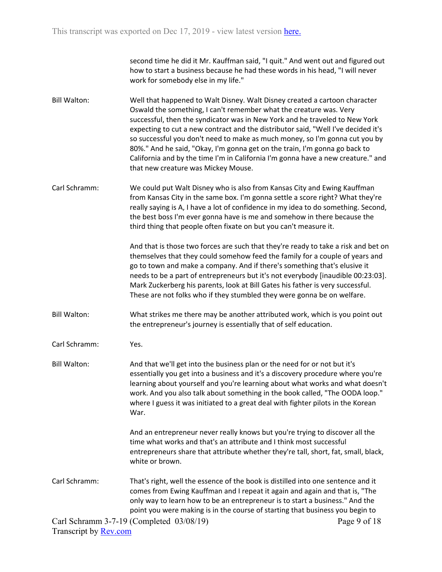second time he did it Mr. Kauffman said, "I quit." And went out and figured out how to start a business because he had these words in his head, "I will never work for somebody else in my life."

- Bill Walton: Well that happened to Walt Disney. Walt Disney created a cartoon character Oswald the something, I can't remember what the creature was. Very successful, then the syndicator was in New York and he traveled to New York expecting to cut a new contract and the distributor said, "Well I've decided it's so successful you don't need to make as much money, so I'm gonna cut you by 80%." And he said, "Okay, I'm gonna get on the train, I'm gonna go back to California and by the time I'm in California I'm gonna have a new creature." and that new creature was Mickey Mouse.
- Carl Schramm: We could put Walt Disney who is also from Kansas City and Ewing Kauffman from Kansas City in the same box. I'm gonna settle a score right? What they're really saying is A, I have a lot of confidence in my idea to do something. Second, the best boss I'm ever gonna have is me and somehow in there because the third thing that people often fixate on but you can't measure it.

And that is those two forces are such that they're ready to take a risk and bet on themselves that they could somehow feed the family for a couple of years and go to town and make a company. And if there's something that's elusive it needs to be a part of entrepreneurs but it's not everybody [inaudible 00:23:03]. Mark Zuckerberg his parents, look at Bill Gates his father is very successful. These are not folks who if they stumbled they were gonna be on welfare.

Bill Walton: What strikes me there may be another attributed work, which is you point out the entrepreneur's journey is essentially that of self education.

Carl Schramm: Yes.

Bill Walton: And that we'll get into the business plan or the need for or not but it's essentially you get into a business and it's a discovery procedure where you're learning about yourself and you're learning about what works and what doesn't work. And you also talk about something in the book called, "The OODA loop." where I guess it was initiated to a great deal with fighter pilots in the Korean War.

> And an entrepreneur never really knows but you're trying to discover all the time what works and that's an attribute and I think most successful entrepreneurs share that attribute whether they're tall, short, fat, small, black, white or brown.

Carl Schramm: That's right, well the essence of the book is distilled into one sentence and it comes from Ewing Kauffman and I repeat it again and again and that is, "The only way to learn how to be an entrepreneur is to start a business." And the point you were making is in the course of starting that business you begin to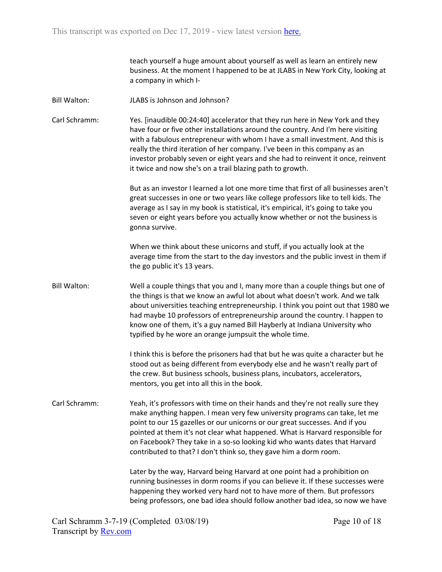teach yourself a huge amount about yourself as well as learn an entirely new business. At the moment I happened to be at JLABS in New York City, looking at a company in which I-

Bill Walton: JLABS is Johnson and Johnson?

Carl Schramm: Yes. [inaudible 00:24:40] accelerator that they run here in New York and they have four or five other installations around the country. And I'm here visiting with a fabulous entrepreneur with whom I have a small investment. And this is really the third iteration of her company. I've been in this company as an investor probably seven or eight years and she had to reinvent it once, reinvent it twice and now she's on a trail blazing path to growth.

> But as an investor I learned a lot one more time that first of all businesses aren't great successes in one or two years like college professors like to tell kids. The average as I say in my book is statistical, it's empirical, it's going to take you seven or eight years before you actually know whether or not the business is gonna survive.

> When we think about these unicorns and stuff, if you actually look at the average time from the start to the day investors and the public invest in them if the go public it's 13 years.

Bill Walton: Well a couple things that you and I, many more than a couple things but one of the things is that we know an awful lot about what doesn't work. And we talk about universities teaching entrepreneurship. I think you point out that 1980 we had maybe 10 professors of entrepreneurship around the country. I happen to know one of them, it's a guy named Bill Hayberly at Indiana University who typified by he wore an orange jumpsuit the whole time.

> I think this is before the prisoners had that but he was quite a character but he stood out as being different from everybody else and he wasn't really part of the crew. But business schools, business plans, incubators, accelerators, mentors, you get into all this in the book.

Carl Schramm: Yeah, it's professors with time on their hands and they're not really sure they make anything happen. I mean very few university programs can take, let me point to our 15 gazelles or our unicorns or our great successes. And if you pointed at them it's not clear what happened. What is Harvard responsible for on Facebook? They take in a so-so looking kid who wants dates that Harvard contributed to that? I don't think so, they gave him a dorm room.

> Later by the way, Harvard being Harvard at one point had a prohibition on running businesses in dorm rooms if you can believe it. If these successes were happening they worked very hard not to have more of them. But professors being professors, one bad idea should follow another bad idea, so now we have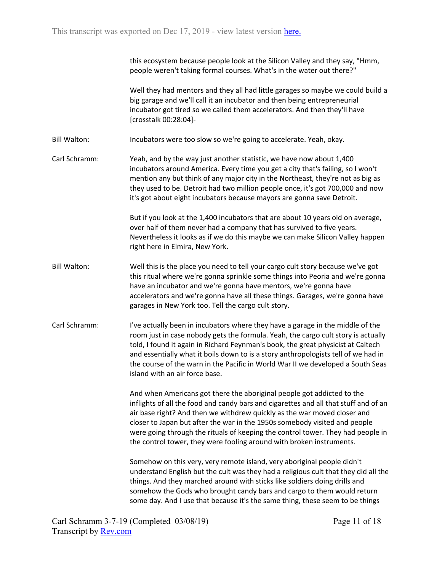|                     | this ecosystem because people look at the Silicon Valley and they say, "Hmm,<br>people weren't taking formal courses. What's in the water out there?"                                                                                                                                                                                                                                                                                                                               |
|---------------------|-------------------------------------------------------------------------------------------------------------------------------------------------------------------------------------------------------------------------------------------------------------------------------------------------------------------------------------------------------------------------------------------------------------------------------------------------------------------------------------|
|                     | Well they had mentors and they all had little garages so maybe we could build a<br>big garage and we'll call it an incubator and then being entrepreneurial<br>incubator got tired so we called them accelerators. And then they'll have<br>[crosstalk 00:28:04]-                                                                                                                                                                                                                   |
| <b>Bill Walton:</b> | Incubators were too slow so we're going to accelerate. Yeah, okay.                                                                                                                                                                                                                                                                                                                                                                                                                  |
| Carl Schramm:       | Yeah, and by the way just another statistic, we have now about 1,400<br>incubators around America. Every time you get a city that's failing, so I won't<br>mention any but think of any major city in the Northeast, they're not as big as<br>they used to be. Detroit had two million people once, it's got 700,000 and now<br>it's got about eight incubators because mayors are gonna save Detroit.                                                                              |
|                     | But if you look at the 1,400 incubators that are about 10 years old on average,<br>over half of them never had a company that has survived to five years.<br>Nevertheless it looks as if we do this maybe we can make Silicon Valley happen<br>right here in Elmira, New York.                                                                                                                                                                                                      |
| <b>Bill Walton:</b> | Well this is the place you need to tell your cargo cult story because we've got<br>this ritual where we're gonna sprinkle some things into Peoria and we're gonna<br>have an incubator and we're gonna have mentors, we're gonna have<br>accelerators and we're gonna have all these things. Garages, we're gonna have<br>garages in New York too. Tell the cargo cult story.                                                                                                       |
| Carl Schramm:       | I've actually been in incubators where they have a garage in the middle of the<br>room just in case nobody gets the formula. Yeah, the cargo cult story is actually<br>told, I found it again in Richard Feynman's book, the great physicist at Caltech<br>and essentially what it boils down to is a story anthropologists tell of we had in<br>the course of the warn in the Pacific in World War II we developed a South Seas<br>island with an air force base.                  |
|                     | And when Americans got there the aboriginal people got addicted to the<br>inflights of all the food and candy bars and cigarettes and all that stuff and of an<br>air base right? And then we withdrew quickly as the war moved closer and<br>closer to Japan but after the war in the 1950s somebody visited and people<br>were going through the rituals of keeping the control tower. They had people in<br>the control tower, they were fooling around with broken instruments. |
|                     | Somehow on this very, very remote island, very aboriginal people didn't<br>understand English but the cult was they had a religious cult that they did all the<br>things. And they marched around with sticks like soldiers doing drills and<br>somehow the Gods who brought candy bars and cargo to them would return<br>some day. And I use that because it's the same thing, these seem to be things                                                                             |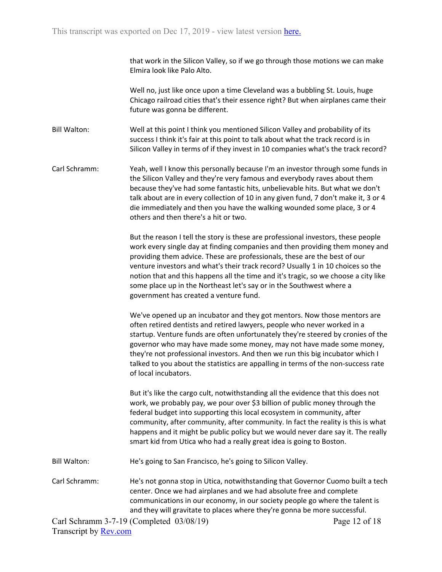that work in the Silicon Valley, so if we go through those motions we can make Elmira look like Palo Alto.

Well no, just like once upon a time Cleveland was a bubbling St. Louis, huge Chicago railroad cities that's their essence right? But when airplanes came their future was gonna be different.

Bill Walton: Well at this point I think you mentioned Silicon Valley and probability of its success I think it's fair at this point to talk about what the track record is in Silicon Valley in terms of if they invest in 10 companies what's the track record?

Carl Schramm: Yeah, well I know this personally because I'm an investor through some funds in the Silicon Valley and they're very famous and everybody raves about them because they've had some fantastic hits, unbelievable hits. But what we don't talk about are in every collection of 10 in any given fund, 7 don't make it, 3 or 4 die immediately and then you have the walking wounded some place, 3 or 4 others and then there's a hit or two.

> But the reason I tell the story is these are professional investors, these people work every single day at finding companies and then providing them money and providing them advice. These are professionals, these are the best of our venture investors and what's their track record? Usually 1 in 10 choices so the notion that and this happens all the time and it's tragic, so we choose a city like some place up in the Northeast let's say or in the Southwest where a government has created a venture fund.

> We've opened up an incubator and they got mentors. Now those mentors are often retired dentists and retired lawyers, people who never worked in a startup. Venture funds are often unfortunately they're steered by cronies of the governor who may have made some money, may not have made some money, they're not professional investors. And then we run this big incubator which I talked to you about the statistics are appalling in terms of the non-success rate of local incubators.

> But it's like the cargo cult, notwithstanding all the evidence that this does not work, we probably pay, we pour over \$3 billion of public money through the federal budget into supporting this local ecosystem in community, after community, after community, after community. In fact the reality is this is what happens and it might be public policy but we would never dare say it. The really smart kid from Utica who had a really great idea is going to Boston.

Bill Walton: He's going to San Francisco, he's going to Silicon Valley.

Carl Schramm: He's not gonna stop in Utica, notwithstanding that Governor Cuomo built a tech center. Once we had airplanes and we had absolute free and complete communications in our economy, in our society people go where the talent is and they will gravitate to places where they're gonna be more successful.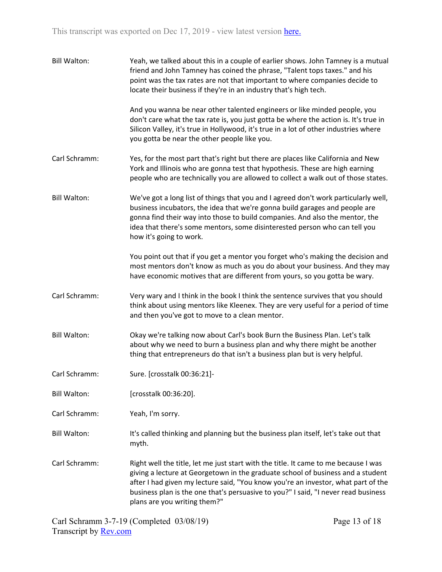| <b>Bill Walton:</b> | Yeah, we talked about this in a couple of earlier shows. John Tamney is a mutual<br>friend and John Tamney has coined the phrase, "Talent tops taxes." and his<br>point was the tax rates are not that important to where companies decide to<br>locate their business if they're in an industry that's high tech.                                                                |
|---------------------|-----------------------------------------------------------------------------------------------------------------------------------------------------------------------------------------------------------------------------------------------------------------------------------------------------------------------------------------------------------------------------------|
|                     | And you wanna be near other talented engineers or like minded people, you<br>don't care what the tax rate is, you just gotta be where the action is. It's true in<br>Silicon Valley, it's true in Hollywood, it's true in a lot of other industries where<br>you gotta be near the other people like you.                                                                         |
| Carl Schramm:       | Yes, for the most part that's right but there are places like California and New<br>York and Illinois who are gonna test that hypothesis. These are high earning<br>people who are technically you are allowed to collect a walk out of those states.                                                                                                                             |
| <b>Bill Walton:</b> | We've got a long list of things that you and I agreed don't work particularly well,<br>business incubators, the idea that we're gonna build garages and people are<br>gonna find their way into those to build companies. And also the mentor, the<br>idea that there's some mentors, some disinterested person who can tell you<br>how it's going to work.                       |
|                     | You point out that if you get a mentor you forget who's making the decision and<br>most mentors don't know as much as you do about your business. And they may<br>have economic motives that are different from yours, so you gotta be wary.                                                                                                                                      |
| Carl Schramm:       | Very wary and I think in the book I think the sentence survives that you should<br>think about using mentors like Kleenex. They are very useful for a period of time<br>and then you've got to move to a clean mentor.                                                                                                                                                            |
| <b>Bill Walton:</b> | Okay we're talking now about Carl's book Burn the Business Plan. Let's talk<br>about why we need to burn a business plan and why there might be another<br>thing that entrepreneurs do that isn't a business plan but is very helpful.                                                                                                                                            |
| Carl Schramm:       | Sure. [crosstalk 00:36:21]-                                                                                                                                                                                                                                                                                                                                                       |
| <b>Bill Walton:</b> | [crosstalk 00:36:20].                                                                                                                                                                                                                                                                                                                                                             |
| Carl Schramm:       | Yeah, I'm sorry.                                                                                                                                                                                                                                                                                                                                                                  |
| <b>Bill Walton:</b> | It's called thinking and planning but the business plan itself, let's take out that<br>myth.                                                                                                                                                                                                                                                                                      |
| Carl Schramm:       | Right well the title, let me just start with the title. It came to me because I was<br>giving a lecture at Georgetown in the graduate school of business and a student<br>after I had given my lecture said, "You know you're an investor, what part of the<br>business plan is the one that's persuasive to you?" I said, "I never read business<br>plans are you writing them?" |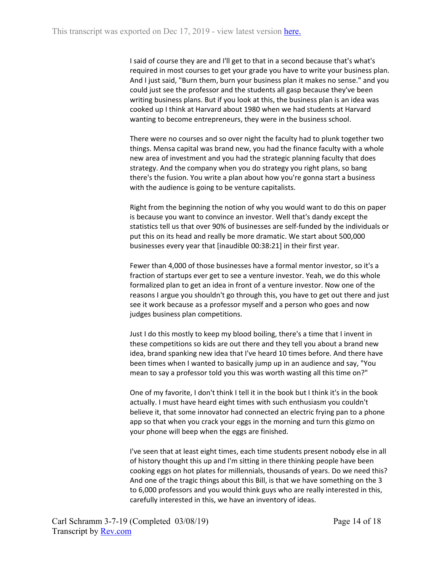I said of course they are and I'll get to that in a second because that's what's required in most courses to get your grade you have to write your business plan. And I just said, "Burn them, burn your business plan it makes no sense." and you could just see the professor and the students all gasp because they've been writing business plans. But if you look at this, the business plan is an idea was cooked up I think at Harvard about 1980 when we had students at Harvard wanting to become entrepreneurs, they were in the business school.

There were no courses and so over night the faculty had to plunk together two things. Mensa capital was brand new, you had the finance faculty with a whole new area of investment and you had the strategic planning faculty that does strategy. And the company when you do strategy you right plans, so bang there's the fusion. You write a plan about how you're gonna start a business with the audience is going to be venture capitalists.

Right from the beginning the notion of why you would want to do this on paper is because you want to convince an investor. Well that's dandy except the statistics tell us that over 90% of businesses are self-funded by the individuals or put this on its head and really be more dramatic. We start about 500,000 businesses every year that [inaudible 00:38:21] in their first year.

Fewer than 4,000 of those businesses have a formal mentor investor, so it's a fraction of startups ever get to see a venture investor. Yeah, we do this whole formalized plan to get an idea in front of a venture investor. Now one of the reasons I argue you shouldn't go through this, you have to get out there and just see it work because as a professor myself and a person who goes and now judges business plan competitions.

Just I do this mostly to keep my blood boiling, there's a time that I invent in these competitions so kids are out there and they tell you about a brand new idea, brand spanking new idea that I've heard 10 times before. And there have been times when I wanted to basically jump up in an audience and say, "You mean to say a professor told you this was worth wasting all this time on?"

One of my favorite, I don't think I tell it in the book but I think it's in the book actually. I must have heard eight times with such enthusiasm you couldn't believe it, that some innovator had connected an electric frying pan to a phone app so that when you crack your eggs in the morning and turn this gizmo on your phone will beep when the eggs are finished.

I've seen that at least eight times, each time students present nobody else in all of history thought this up and I'm sitting in there thinking people have been cooking eggs on hot plates for millennials, thousands of years. Do we need this? And one of the tragic things about this Bill, is that we have something on the 3 to 6,000 professors and you would think guys who are really interested in this, carefully interested in this, we have an inventory of ideas.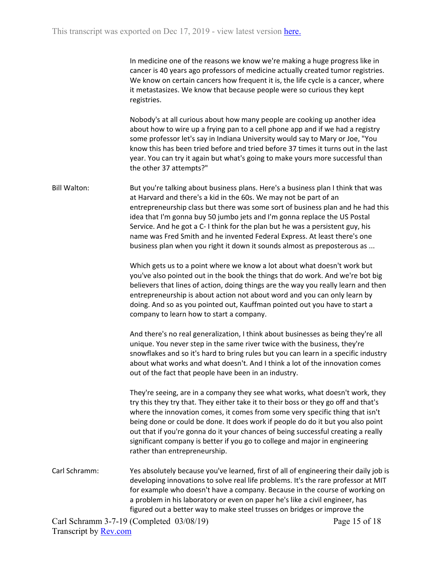In medicine one of the reasons we know we're making a huge progress like in cancer is 40 years ago professors of medicine actually created tumor registries. We know on certain cancers how frequent it is, the life cycle is a cancer, where it metastasizes. We know that because people were so curious they kept registries.

Nobody's at all curious about how many people are cooking up another idea about how to wire up a frying pan to a cell phone app and if we had a registry some professor let's say in Indiana University would say to Mary or Joe, "You know this has been tried before and tried before 37 times it turns out in the last year. You can try it again but what's going to make yours more successful than the other 37 attempts?"

Bill Walton: But you're talking about business plans. Here's a business plan I think that was at Harvard and there's a kid in the 60s. We may not be part of an entrepreneurship class but there was some sort of business plan and he had this idea that I'm gonna buy 50 jumbo jets and I'm gonna replace the US Postal Service. And he got a C- I think for the plan but he was a persistent guy, his name was Fred Smith and he invented Federal Express. At least there's one business plan when you right it down it sounds almost as preposterous as ...

> Which gets us to a point where we know a lot about what doesn't work but you've also pointed out in the book the things that do work. And we're bot big believers that lines of action, doing things are the way you really learn and then entrepreneurship is about action not about word and you can only learn by doing. And so as you pointed out, Kauffman pointed out you have to start a company to learn how to start a company.

> And there's no real generalization, I think about businesses as being they're all unique. You never step in the same river twice with the business, they're snowflakes and so it's hard to bring rules but you can learn in a specific industry about what works and what doesn't. And I think a lot of the innovation comes out of the fact that people have been in an industry.

> They're seeing, are in a company they see what works, what doesn't work, they try this they try that. They either take it to their boss or they go off and that's where the innovation comes, it comes from some very specific thing that isn't being done or could be done. It does work if people do do it but you also point out that if you're gonna do it your chances of being successful creating a really significant company is better if you go to college and major in engineering rather than entrepreneurship.

Carl Schramm: Yes absolutely because you've learned, first of all of engineering their daily job is developing innovations to solve real life problems. It's the rare professor at MIT for example who doesn't have a company. Because in the course of working on a problem in his laboratory or even on paper he's like a civil engineer, has figured out a better way to make steel trusses on bridges or improve the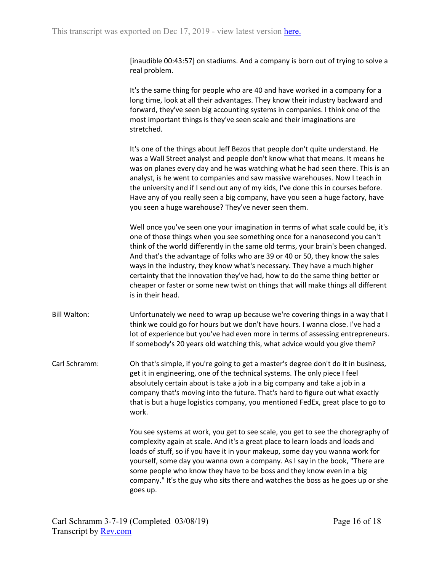[inaudible 00:43:57] on stadiums. And a company is born out of trying to solve a real problem.

It's the same thing for people who are 40 and have worked in a company for a long time, look at all their advantages. They know their industry backward and forward, they've seen big accounting systems in companies. I think one of the most important things is they've seen scale and their imaginations are stretched.

It's one of the things about Jeff Bezos that people don't quite understand. He was a Wall Street analyst and people don't know what that means. It means he was on planes every day and he was watching what he had seen there. This is an analyst, is he went to companies and saw massive warehouses. Now I teach in the university and if I send out any of my kids, I've done this in courses before. Have any of you really seen a big company, have you seen a huge factory, have you seen a huge warehouse? They've never seen them.

Well once you've seen one your imagination in terms of what scale could be, it's one of those things when you see something once for a nanosecond you can't think of the world differently in the same old terms, your brain's been changed. And that's the advantage of folks who are 39 or 40 or 50, they know the sales ways in the industry, they know what's necessary. They have a much higher certainty that the innovation they've had, how to do the same thing better or cheaper or faster or some new twist on things that will make things all different is in their head.

Bill Walton: Unfortunately we need to wrap up because we're covering things in a way that I think we could go for hours but we don't have hours. I wanna close. I've had a lot of experience but you've had even more in terms of assessing entrepreneurs. If somebody's 20 years old watching this, what advice would you give them?

Carl Schramm: Oh that's simple, if you're going to get a master's degree don't do it in business, get it in engineering, one of the technical systems. The only piece I feel absolutely certain about is take a job in a big company and take a job in a company that's moving into the future. That's hard to figure out what exactly that is but a huge logistics company, you mentioned FedEx, great place to go to work.

> You see systems at work, you get to see scale, you get to see the choregraphy of complexity again at scale. And it's a great place to learn loads and loads and loads of stuff, so if you have it in your makeup, some day you wanna work for yourself, some day you wanna own a company. As I say in the book, "There are some people who know they have to be boss and they know even in a big company." It's the guy who sits there and watches the boss as he goes up or she goes up.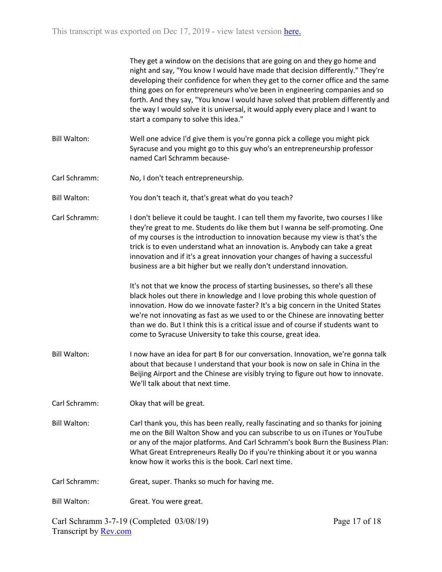|                     | They get a window on the decisions that are going on and they go home and<br>night and say, "You know I would have made that decision differently." They're<br>developing their confidence for when they get to the corner office and the same<br>thing goes on for entrepreneurs who've been in engineering companies and so<br>forth. And they say, "You know I would have solved that problem differently and<br>the way I would solve it is universal, it would apply every place and I want to<br>start a company to solve this idea." |               |
|---------------------|---------------------------------------------------------------------------------------------------------------------------------------------------------------------------------------------------------------------------------------------------------------------------------------------------------------------------------------------------------------------------------------------------------------------------------------------------------------------------------------------------------------------------------------------|---------------|
| <b>Bill Walton:</b> | Well one advice I'd give them is you're gonna pick a college you might pick<br>Syracuse and you might go to this guy who's an entrepreneurship professor<br>named Carl Schramm because-                                                                                                                                                                                                                                                                                                                                                     |               |
| Carl Schramm:       | No, I don't teach entrepreneurship.                                                                                                                                                                                                                                                                                                                                                                                                                                                                                                         |               |
| <b>Bill Walton:</b> | You don't teach it, that's great what do you teach?                                                                                                                                                                                                                                                                                                                                                                                                                                                                                         |               |
| Carl Schramm:       | I don't believe it could be taught. I can tell them my favorite, two courses I like<br>they're great to me. Students do like them but I wanna be self-promoting. One<br>of my courses is the introduction to innovation because my view is that's the<br>trick is to even understand what an innovation is. Anybody can take a great<br>innovation and if it's a great innovation your changes of having a successful<br>business are a bit higher but we really don't understand innovation.                                               |               |
|                     | It's not that we know the process of starting businesses, so there's all these<br>black holes out there in knowledge and I love probing this whole question of<br>innovation. How do we innovate faster? It's a big concern in the United States<br>we're not innovating as fast as we used to or the Chinese are innovating better<br>than we do. But I think this is a critical issue and of course if students want to<br>come to Syracuse University to take this course, great idea.                                                   |               |
| <b>Bill Walton:</b> | I now have an idea for part B for our conversation. Innovation, we're gonna talk<br>about that because I understand that your book is now on sale in China in the<br>Beijing Airport and the Chinese are visibly trying to figure out how to innovate.<br>We'll talk about that next time.                                                                                                                                                                                                                                                  |               |
| Carl Schramm:       | Okay that will be great.                                                                                                                                                                                                                                                                                                                                                                                                                                                                                                                    |               |
| <b>Bill Walton:</b> | Carl thank you, this has been really, really fascinating and so thanks for joining<br>me on the Bill Walton Show and you can subscribe to us on iTunes or YouTube<br>or any of the major platforms. And Carl Schramm's book Burn the Business Plan:<br>What Great Entrepreneurs Really Do if you're thinking about it or you wanna<br>know how it works this is the book. Carl next time.                                                                                                                                                   |               |
| Carl Schramm:       | Great, super. Thanks so much for having me.                                                                                                                                                                                                                                                                                                                                                                                                                                                                                                 |               |
| <b>Bill Walton:</b> | Great. You were great.                                                                                                                                                                                                                                                                                                                                                                                                                                                                                                                      |               |
|                     | Carl Schramm 3-7-19 (Completed 03/08/19)                                                                                                                                                                                                                                                                                                                                                                                                                                                                                                    | Page 17 of 18 |